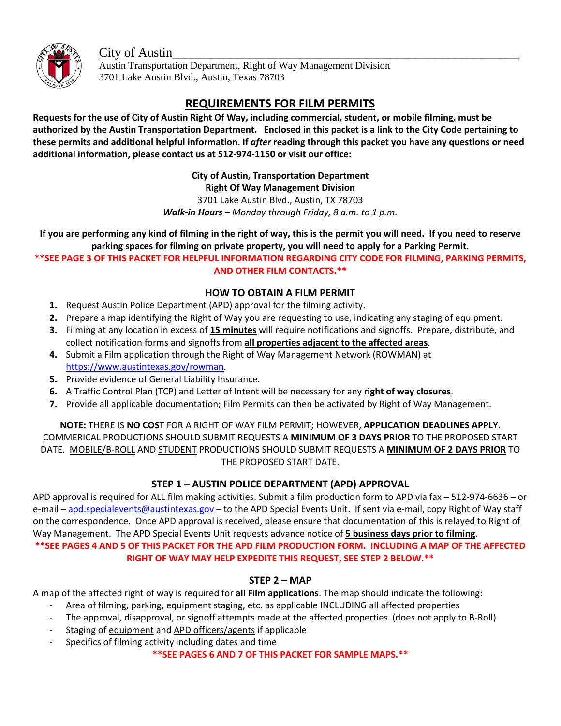City of Austin



Austin Transportation Department, Right of Way Management Division 3701 Lake Austin Blvd., Austin, Texas 78703

# **REQUIREMENTS FOR FILM PERMITS**

**Requests for the use of City of Austin Right Of Way, including commercial, student, or mobile filming, must be authorized by the Austin Transportation Department. Enclosed in this packet is a link to the City Code pertaining to these permits and additional helpful information. If** *after* **reading through this packet you have any questions or need additional information, please contact us at 512-974-1150 or visit our office:** 

**City of Austin, Transportation Department**

**Right Of Way Management Division**

3701 Lake Austin Blvd., Austin, TX 78703

*Walk-in Hours – Monday through Friday, 8 a.m. to 1 p.m.*

**If you are performing any kind of filming in the right of way, this is the permit you will need. If you need to reserve parking spaces for filming on private property, you will need to apply for a Parking Permit.**

**\*\*SEE PAGE 3 OF THIS PACKET FOR HELPFUL INFORMATION REGARDING CITY CODE FOR FILMING, PARKING PERMITS, AND OTHER FILM CONTACTS.\*\***

### **HOW TO OBTAIN A FILM PERMIT**

- **1.** Request Austin Police Department (APD) approval for the filming activity.
- **2.** Prepare a map identifying the Right of Way you are requesting to use, indicating any staging of equipment.
- **3.** Filming at any location in excess of **15 minutes** will require notifications and signoffs. Prepare, distribute, and collect notification forms and signoffs from **all properties adjacent to the affected areas**.
- **4.** Submit a Film application through the Right of Way Management Network (ROWMAN) at [https://www.austintexas.gov/rowman.](https://www.austintexas.gov/rowman)
- **5.** Provide evidence of General Liability Insurance.
- **6.** A Traffic Control Plan (TCP) and Letter of Intent will be necessary for any **right of way closures**.
- **7.** Provide all applicable documentation; Film Permits can then be activated by Right of Way Management.

**NOTE:** THERE IS **NO COST** FOR A RIGHT OF WAY FILM PERMIT; HOWEVER, **APPLICATION DEADLINES APPLY**. COMMERICAL PRODUCTIONS SHOULD SUBMIT REQUESTS A **MINIMUM OF 3 DAYS PRIOR** TO THE PROPOSED START DATE. MOBILE/B-ROLL AND STUDENT PRODUCTIONS SHOULD SUBMIT REQUESTS A **MINIMUM OF 2 DAYS PRIOR** TO THE PROPOSED START DATE.

# **STEP 1 – AUSTIN POLICE DEPARTMENT (APD) APPROVAL**

APD approval is required for ALL film making activities. Submit a film production form to APD via fax – 512-974-6636 – or e-mail – [apd.specialevents@austintexas.gov](mailto:apd.specialevents@austintexas.gov) – to the APD Special Events Unit. If sent via e-mail, copy Right of Way staff on the correspondence. Once APD approval is received, please ensure that documentation of this is relayed to Right of Way Management. The APD Special Events Unit requests advance notice of **5 business days prior to filming**. **\*\*SEE PAGES 4 AND 5 OF THIS PACKET FOR THE APD FILM PRODUCTION FORM. INCLUDING A MAP OF THE AFFECTED RIGHT OF WAY MAY HELP EXPEDITE THIS REQUEST, SEE STEP 2 BELOW.\*\***

# **STEP 2 – MAP**

A map of the affected right of way is required for **all Film applications**. The map should indicate the following:

- Area of filming, parking, equipment staging, etc. as applicable INCLUDING all affected properties
- The approval, disapproval, or signoff attempts made at the affected properties (does not apply to B-Roll)
- Staging of equipment and APD officers/agents if applicable
- Specifics of filming activity including dates and time

**\*\*SEE PAGES 6 AND 7 OF THIS PACKET FOR SAMPLE MAPS.\*\***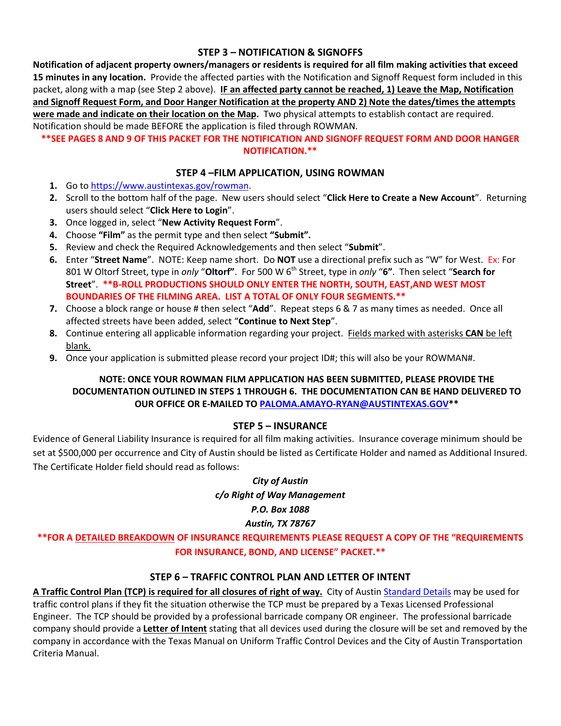#### **STEP 3 – NOTIFICATION & SIGNOFFS**

**Notification of adjacent property owners/managers or residents is required for all film making activities that exceed 15 minutes in any location.** Provide the affected parties with the Notification and Signoff Request form included in this packet, along with a map (see Step 2 above). **IF an affected party cannot be reached, 1) Leave the Map, Notification and Signoff Request Form, and Door Hanger Notification at the property AND 2) Note the dates/times the attempts were made and indicate on their location on the Map.** Two physical attempts to establish contact are required. Notification should be made BEFORE the application is filed through ROWMAN.

#### **\*\*SEE PAGES 8 AND 9 OF THIS PACKET FOR THE NOTIFICATION AND SIGNOFF REQUEST FORM AND DOOR HANGER NOTIFICATION.\*\***

#### **STEP 4 –FILM APPLICATION, USING ROWMAN**

- **1.** Go to [https://www.austintexas.gov/rowman.](https://www.austintexas.gov/rowman)
- **2.** Scroll to the bottom half of the page. New users should select "**Click Here to Create a New Account**". Returning users should select "**Click Here to Login**".
- **3.** Once logged in, select "**New Activity Request Form**".
- **4.** Choose **"Film"** as the permit type and then select **"Submit".**
- **5.** Review and check the Required Acknowledgements and then select "**Submit**".
- **6.** Enter "**Street Name**". NOTE: Keep name short. Do **NOT** use a directional prefix such as "W" for West. Ex: For 801 W Oltorf Street, type in *only* "**Oltorf"**. For 500 W 6th Street, type in *only* "**6"**. Then select "**Search for Street**". **\*\*B-ROLL PRODUCTIONS SHOULD ONLY ENTER THE NORTH, SOUTH, EAST,AND WEST MOST BOUNDARIES OF THE FILMING AREA. LIST A TOTAL OF ONLY FOUR SEGMENTS.\*\***
- **7.** Choose a block range or house # then select "**Add**". Repeat steps 6 & 7 as many times as needed. Once all affected streets have been added, select "**Continue to Next Step**".
- **8.** Continue entering all applicable information regarding your project. Fields marked with asterisks **CAN** be left blank.
- **9.** Once your application is submitted please record your project ID#; this will also be your ROWMAN#.

#### **NOTE: ONCE YOUR ROWMAN FILM APPLICATION HAS BEEN SUBMITTED, PLEASE PROVIDE THE DOCUMENTATION OUTLINED IN STEPS 1 THROUGH 6. THE DOCUMENTATION CAN BE HAND DELIVERED TO OUR OFFICE OR E-MAILED T[O PALOMA.AMAYO-RYAN@AUSTINTEXAS.GOV\\*](mailto:PALOMA.AMAYO-RYAN@AUSTINTEXAS.GOV)\***

#### **STEP 5 – INSURANCE**

Evidence of General Liability Insurance is required for all film making activities. Insurance coverage minimum should be set at \$500,000 per occurrence and City of Austin should be listed as Certificate Holder and named as Additional Insured. The Certificate Holder field should read as follows:

#### *City of Austin*

*c/o Right of Way Management*

#### *P.O. Box 1088*

#### *Austin, TX 78767*

# **\*\*FOR A DETAILED BREAKDOWN OF INSURANCE REQUIREMENTS PLEASE REQUEST A COPY OF THE "REQUIREMENTS FOR INSURANCE, BOND, AND LICENSE" PACKET.\*\***

# **STEP 6 – TRAFFIC CONTROL PLAN AND LETTER OF INTENT**

**A Traffic Control Plan (TCP) is required for all closures of right of way.** City of Austin [Standard Details](https://www.municode.com/library/tx/austin/codes/standards_manual?nodeId=CITY_AUSTIN_TEXASST_SERIES_800TRCO) may be used for traffic control plans if they fit the situation otherwise the TCP must be prepared by a Texas Licensed Professional Engineer. The TCP should be provided by a professional barricade company OR engineer. The professional barricade company should provide a **Letter of Intent** stating that all devices used during the closure will be set and removed by the company in accordance with the Texas Manual on Uniform Traffic Control Devices and the City of Austin Transportation Criteria Manual.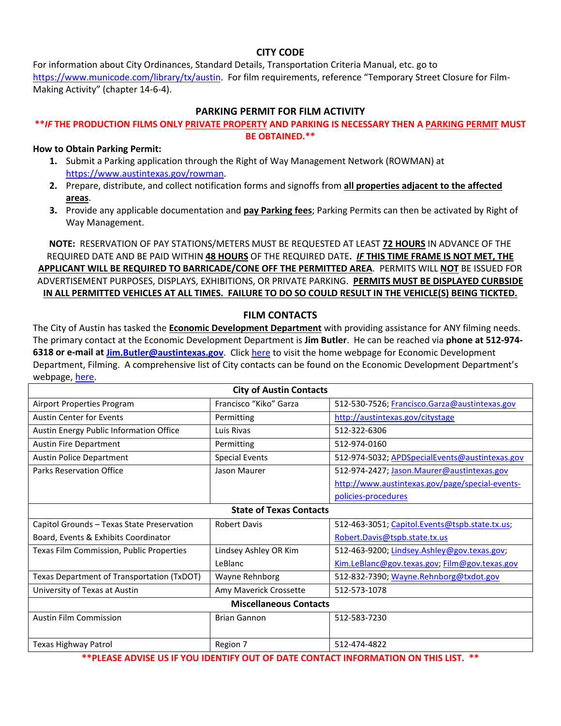#### **CITY CODE**

For information about City Ordinances, Standard Details, Transportation Criteria Manual, etc. go to [https://www.municode.com/library/tx/austin.](https://www.municode.com/library/tx/austin) For film requirements, reference "Temporary Street Closure for Film-Making Activity" (chapter 14-6-4).

#### **PARKING PERMIT FOR FILM ACTIVITY**

#### **\*\****IF* **THE PRODUCTION FILMS ONLY PRIVATE PROPERTY AND PARKING IS NECESSARY THEN A PARKING PERMIT MUST BE OBTAINED.\*\***

**How to Obtain Parking Permit:**

- **1.** Submit a Parking application through the Right of Way Management Network (ROWMAN) at [https://www.austintexas.gov/rowman.](https://www.austintexas.gov/rowman)
- **2.** Prepare, distribute, and collect notification forms and signoffs from **all properties adjacent to the affected areas**.
- **3.** Provide any applicable documentation and **pay Parking fees**; Parking Permits can then be activated by Right of Way Management.

**NOTE:** RESERVATION OF PAY STATIONS/METERS MUST BE REQUESTED AT LEAST **72 HOURS** IN ADVANCE OF THE REQUIRED DATE AND BE PAID WITHIN **48 HOURS** OF THE REQUIRED DATE**.** *IF* **THIS TIME FRAME IS NOT MET, THE APPLICANT WILL BE REQUIRED TO BARRICADE/CONE OFF THE PERMITTED AREA**. PERMITS WILL **NOT** BE ISSUED FOR ADVERTISEMENT PURPOSES, DISPLAYS, EXHIBITIONS, OR PRIVATE PARKING. **PERMITS MUST BE DISPLAYED CURBSIDE IN ALL PERMITTED VEHICLES AT ALL TIMES. FAILURE TO DO SO COULD RESULT IN THE VEHICLE(S) BEING TICKTED.**

#### **FILM CONTACTS**

The City of Austin has tasked the **Economic Development Department** with providing assistance for ANY filming needs. The primary contact at the Economic Development Department is **Jim Butler**. He can be reached via **phone at 512-974- 6318 or e-mail at [Jim.Butler@austintexas.gov](mailto:Jim.Butler@austintexas.gov)**. Clic[k here](http://www.austintexas.gov/department/filming-austin) to visit the home webpage for Economic Development Department, Filming.A comprehensive list of City contacts can be found on the Economic Development Department's webpage, [here.](http://www.austintexas.gov/page/filming-austin-city-austin-departmental-contacts%23police)

| <b>City of Austin Contacts</b>             |                        |                                                 |  |  |
|--------------------------------------------|------------------------|-------------------------------------------------|--|--|
| Airport Properties Program                 | Francisco "Kiko" Garza | 512-530-7526; Francisco.Garza@austintexas.gov   |  |  |
| <b>Austin Center for Events</b>            | Permitting             | http://austintexas.gov/citystage                |  |  |
| Austin Energy Public Information Office    | Luis Rivas             | 512-322-6306                                    |  |  |
| <b>Austin Fire Department</b>              | Permitting             | 512-974-0160                                    |  |  |
| <b>Austin Police Department</b>            | <b>Special Events</b>  | 512-974-5032; APDSpecialEvents@austintexas.gov  |  |  |
| Parks Reservation Office                   | Jason Maurer           | 512-974-2427; Jason.Maurer@austintexas.gov      |  |  |
|                                            |                        | http://www.austintexas.gov/page/special-events- |  |  |
|                                            |                        | policies-procedures                             |  |  |
| <b>State of Texas Contacts</b>             |                        |                                                 |  |  |
| Capitol Grounds - Texas State Preservation | <b>Robert Davis</b>    | 512-463-3051; Capitol.Events@tspb.state.tx.us;  |  |  |
| Board, Events & Exhibits Coordinator       |                        | Robert.Davis@tspb.state.tx.us                   |  |  |
| Texas Film Commission, Public Properties   | Lindsey Ashley OR Kim  | 512-463-9200; Lindsey.Ashley@gov.texas.gov;     |  |  |
|                                            | LeBlanc                | Kim.LeBlanc@gov.texas.gov, Film@gov.texas.gov   |  |  |
| Texas Department of Transportation (TxDOT) | Wayne Rehnborg         | 512-832-7390; Wayne.Rehnborg@txdot.gov          |  |  |
| University of Texas at Austin              | Amy Maverick Crossette | 512-573-1078                                    |  |  |
| <b>Miscellaneous Contacts</b>              |                        |                                                 |  |  |
| <b>Austin Film Commission</b>              | <b>Brian Gannon</b>    | 512-583-7230                                    |  |  |
|                                            |                        |                                                 |  |  |
| Texas Highway Patrol                       | Region 7               | 512-474-4822                                    |  |  |

**\*\*PLEASE ADVISE US IF YOU IDENTIFY OUT OF DATE CONTACT INFORMATION ON THIS LIST. \*\***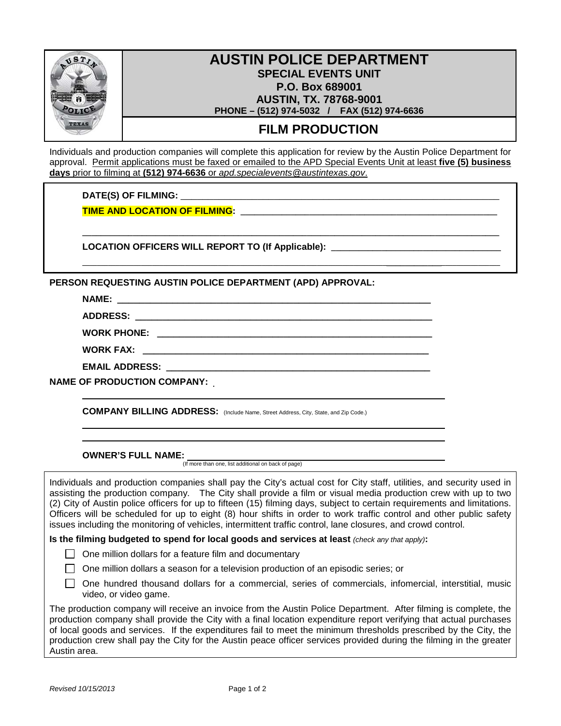

# **AUSTIN POLICE DEPARTMENT SPECIAL EVENTS UNIT P.O. Box 689001 AUSTIN, TX. 78768-9001 PHONE – (512) 974-5032 / FAX (512) 974-6636**

# **FILM PRODUCTION**

Individuals and production companies will complete this application for review by the Austin Police Department for approval. Permit applications must be faxed or emailed to the APD Special Events Unit at least **five (5) business days** prior to filming at **(512) 974-6636** or *apd.specialevents@austintexas.gov*.

**\_\_\_\_\_\_\_\_\_\_\_\_\_\_\_\_\_\_\_\_\_\_\_\_\_\_\_\_\_\_\_\_\_\_\_\_\_\_\_\_\_\_\_\_\_\_\_\_\_\_\_\_\_\_\_\_\_\_\_\_\_\_\_\_\_\_\_\_\_\_\_\_\_\_\_\_\_\_\_\_\_\_\_\_\_\_\_\_\_\_\_**

**\_\_\_\_\_\_\_\_\_\_\_\_\_\_\_\_\_\_\_\_\_\_\_\_\_\_\_\_\_\_\_\_\_\_\_\_\_\_\_\_\_\_\_\_\_\_\_\_\_\_\_\_\_\_\_\_\_\_\_\_\_\_\_\_\_\_\_\_\_\_\_\_\_\_\_\_\_\_\_\_\_\_\_\_\_\_\_\_\_\_\_\_\_\_\_\_\_\_\_\_\_\_\_\_\_\_\_\_\_\_\_**

DATE(S) OF FILMING:

**TIME AND LOCATION OF FILMING: \_\_\_\_\_\_\_\_\_\_\_\_\_\_\_\_\_\_\_\_\_\_\_\_\_\_\_\_\_\_\_\_\_\_\_\_\_\_\_\_\_\_\_\_\_\_\_\_\_\_\_\_\_\_\_\_**

**LOCATION OFFICERS WILL REPORT TO (If Applicable): \_\_\_\_\_\_\_\_\_\_\_\_\_\_\_\_\_\_\_\_\_\_\_\_\_\_\_\_\_\_\_\_\_\_\_\_\_**

**PERSON REQUESTING AUSTIN POLICE DEPARTMENT (APD) APPROVAL:**

| <b>NAME:</b> |  |
|--------------|--|
|              |  |

**ADDRESS: \_\_\_\_\_\_\_\_\_\_\_\_\_\_\_\_\_\_\_\_\_\_\_\_\_\_\_\_\_\_\_\_\_\_\_\_\_\_\_\_\_\_\_\_\_\_\_\_\_\_\_\_\_\_**

**WORK PHONE: \_\_\_\_\_\_\_\_\_\_\_\_\_\_\_\_\_\_\_\_\_\_\_\_\_\_\_\_\_\_\_\_\_\_\_\_\_\_\_\_\_\_\_\_\_\_\_\_\_\_**

**WORK FAX: \_\_\_\_\_\_\_\_\_\_\_\_\_\_\_\_\_\_\_\_\_\_\_\_\_\_\_\_\_\_\_\_\_\_\_\_\_\_\_\_\_\_\_\_\_\_\_\_\_\_\_\_**

**EMAIL ADDRESS: \_\_\_\_\_\_\_\_\_\_\_\_\_\_\_\_\_\_\_\_\_\_\_\_\_\_\_\_\_\_\_\_\_\_\_\_\_\_\_\_\_\_\_\_\_\_\_\_**

**NAME OF PRODUCTION COMPANY:** 

**COMPANY BILLING ADDRESS:** (Include Name, Street Address, City, State, and Zip Code.)

**OWNER'S FULL NAME:**

(If more than one, list additional on back of page)

Individuals and production companies shall pay the City's actual cost for City staff, utilities, and security used in assisting the production company. The City shall provide a film or visual media production crew with up to two (2) City of Austin police officers for up to fifteen (15) filming days, subject to certain requirements and limitations. Officers will be scheduled for up to eight (8) hour shifts in order to work traffic control and other public safety issues including the monitoring of vehicles, intermittent traffic control, lane closures, and crowd control.

**Is the filming budgeted to spend for local goods and services at least** *(check any that apply)***:**

 $\Box$  One million dollars for a feature film and documentary

 $\Box$  One million dollars a season for a television production of an episodic series; or

 $\Box$  One hundred thousand dollars for a commercial, series of commercials, infomercial, interstitial, music video, or video game.

The production company will receive an invoice from the Austin Police Department. After filming is complete, the production company shall provide the City with a final location expenditure report verifying that actual purchases of local goods and services. If the expenditures fail to meet the minimum thresholds prescribed by the City, the production crew shall pay the City for the Austin peace officer services provided during the filming in the greater Austin area.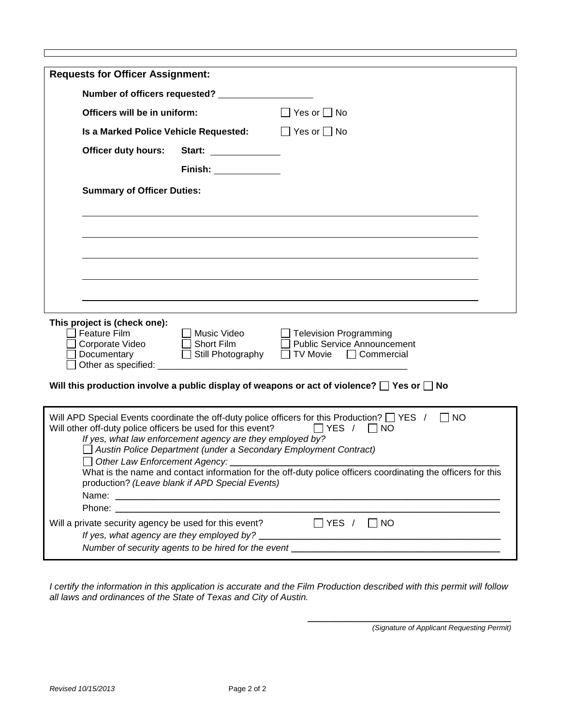| <b>Requests for Officer Assignment:</b>                                                                                                                                                                                                                                       |                         |  |  |  |
|-------------------------------------------------------------------------------------------------------------------------------------------------------------------------------------------------------------------------------------------------------------------------------|-------------------------|--|--|--|
|                                                                                                                                                                                                                                                                               |                         |  |  |  |
| $\Box$ Yes or $\Box$ No<br>Officers will be in uniform:                                                                                                                                                                                                                       |                         |  |  |  |
| Is a Marked Police Vehicle Requested:                                                                                                                                                                                                                                         | $\Box$ Yes or $\Box$ No |  |  |  |
| <b>Officer duty hours:</b>                                                                                                                                                                                                                                                    | Start: ______________   |  |  |  |
|                                                                                                                                                                                                                                                                               | $\n  Finish:\n$         |  |  |  |
| <b>Summary of Officer Duties:</b>                                                                                                                                                                                                                                             |                         |  |  |  |
|                                                                                                                                                                                                                                                                               |                         |  |  |  |
|                                                                                                                                                                                                                                                                               |                         |  |  |  |
|                                                                                                                                                                                                                                                                               |                         |  |  |  |
|                                                                                                                                                                                                                                                                               |                         |  |  |  |
| This project is (check one):<br><b>Feature Film</b><br>Music Video<br>Television Programming<br>Corporate Video<br>Short Film <b>Short</b> Film<br><b>Public Service Announcement</b><br>$\Box$<br>□ Still Photography □ TV Movie □ Commercial<br>Documentary                 |                         |  |  |  |
| Will this production involve a public display of weapons or act of violence? $\square$ Yes or $\square$ No                                                                                                                                                                    |                         |  |  |  |
| Will APD Special Events coordinate the off-duty police officers for this Production? $\Box$ YES /<br>$\vert$ $\vert$ NO<br>Will other off-duty police officers be used for this event?<br>$\Box$ YES / $\Box$ NO<br>If yes, what law enforcement agency are they employed by? |                         |  |  |  |
| Austin Police Department (under a Secondary Employment Contract)<br>What is the name and contact information for the off-duty police officers coordinating the officers for this<br>production? (Leave blank if APD Special Events)                                           |                         |  |  |  |
|                                                                                                                                                                                                                                                                               |                         |  |  |  |
|                                                                                                                                                                                                                                                                               |                         |  |  |  |
| Will a private security agency be used for this event? $\Box$ YES / $\Box$ NO                                                                                                                                                                                                 |                         |  |  |  |
|                                                                                                                                                                                                                                                                               |                         |  |  |  |

*I certify the information in this application is accurate and the Film Production described with this permit will follow all laws and ordinances of the State of Texas and City of Austin.*

*(Signature of Applicant Requesting Permit)*

**\_\_\_\_\_\_\_\_\_\_\_\_\_\_\_\_\_\_\_\_\_\_\_\_\_\_\_\_\_\_\_\_\_\_\_\_\_**

 $\mathsf I$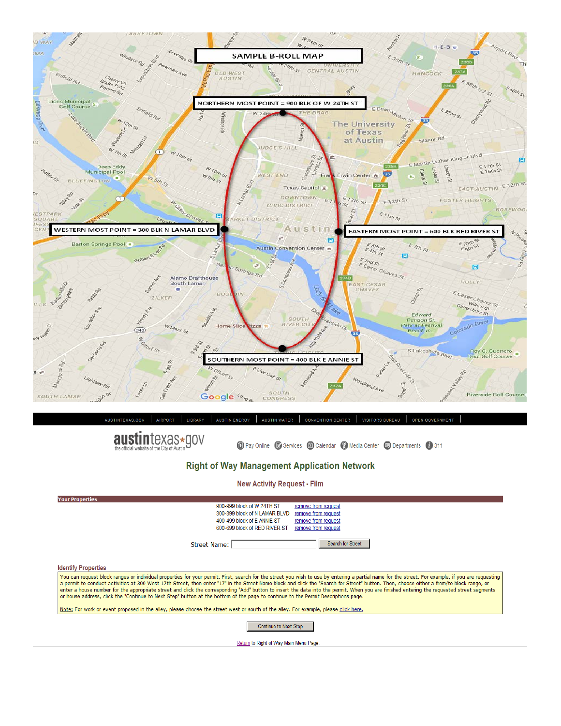



**1** Pay Online **2** Services **1** Calendar **4** Media Center **9** Departments **1** 311

#### **Right of Way Management Application Network**

**New Activity Request - Film** 

| <b>Your Properties</b>                                                                                                                                                                                                                                                                                                                                                                                                                                                                                                                                                                                                                                                                                                          |  |  |  |
|---------------------------------------------------------------------------------------------------------------------------------------------------------------------------------------------------------------------------------------------------------------------------------------------------------------------------------------------------------------------------------------------------------------------------------------------------------------------------------------------------------------------------------------------------------------------------------------------------------------------------------------------------------------------------------------------------------------------------------|--|--|--|
| 900-999 block of W 24TH ST<br>remove from request                                                                                                                                                                                                                                                                                                                                                                                                                                                                                                                                                                                                                                                                               |  |  |  |
| 300-399 block of N LAMAR BLVD<br>remove from request                                                                                                                                                                                                                                                                                                                                                                                                                                                                                                                                                                                                                                                                            |  |  |  |
| 400-499 block of E ANNIE ST<br>remove from request                                                                                                                                                                                                                                                                                                                                                                                                                                                                                                                                                                                                                                                                              |  |  |  |
| 600-699 block of RED RIVER ST<br>remove from request                                                                                                                                                                                                                                                                                                                                                                                                                                                                                                                                                                                                                                                                            |  |  |  |
| Search for Street<br><b>Street Name:</b>                                                                                                                                                                                                                                                                                                                                                                                                                                                                                                                                                                                                                                                                                        |  |  |  |
| <b>Identify Properties</b>                                                                                                                                                                                                                                                                                                                                                                                                                                                                                                                                                                                                                                                                                                      |  |  |  |
| You can request block ranges or individual properties for your permit. First, search for the street you wish to use by entering a partial name for the street. For example, if you are requesting<br>a permit to conduct activities at 300 West 17th Street, then enter "17" in the Street Name block and click the "Search for Street" button. Then, choose either a from/to block range, or<br>enter a house number for the appropriate street and click the corresponding "Add" button to insert the data into the permit. When you are finished entering the requested street segments<br>or house address, click the "Continue to Next Step" button at the bottom of the page to continue to the Permit Descriptions page. |  |  |  |
| Note: For work or event proposed in the alley, please choose the street west or south of the alley. For example, please click here.                                                                                                                                                                                                                                                                                                                                                                                                                                                                                                                                                                                             |  |  |  |
| <b>Continue to Next Step</b>                                                                                                                                                                                                                                                                                                                                                                                                                                                                                                                                                                                                                                                                                                    |  |  |  |
| Return to Right of Way Main Menu Page.                                                                                                                                                                                                                                                                                                                                                                                                                                                                                                                                                                                                                                                                                          |  |  |  |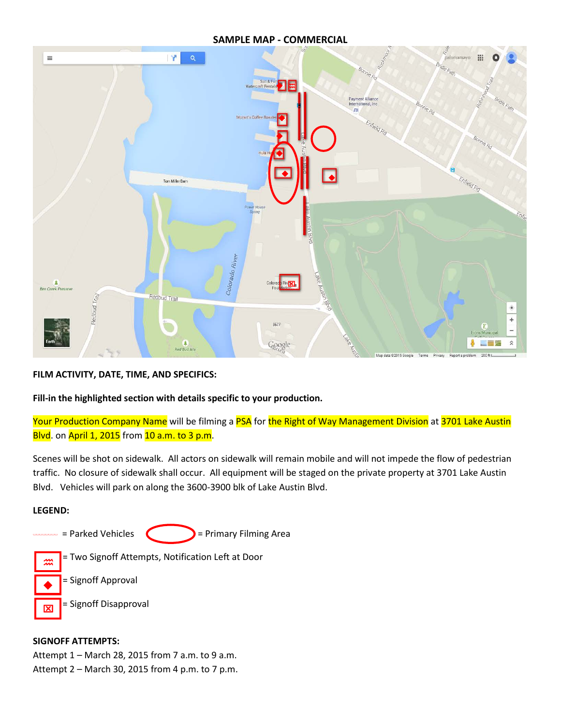#### **SAMPLE MAP - COMMERCIAL**



**FILM ACTIVITY, DATE, TIME, AND SPECIFICS:** 

**Fill-in the highlighted section with details specific to your production.**

Your Production Company Name will be filming a PSA for the Right of Way Management Division at 3701 Lake Austin Blvd. on April 1, 2015 from 10 a.m. to 3 p.m.

Scenes will be shot on sidewalk. All actors on sidewalk will remain mobile and will not impede the flow of pedestrian traffic. No closure of sidewalk shall occur. All equipment will be staged on the private property at 3701 Lake Austin Blvd. Vehicles will park on along the 3600-3900 blk of Lake Austin Blvd.

#### **LEGEND:**

 $\blacklozenge$  |

冈



 = Two Signoff Attempts, Notification Left at Door ‴ |

= Signoff Approval

= Signoff Disapproval

#### **SIGNOFF ATTEMPTS:**

Attempt 1 – March 28, 2015 from 7 a.m. to 9 a.m. Attempt 2 – March 30, 2015 from 4 p.m. to 7 p.m.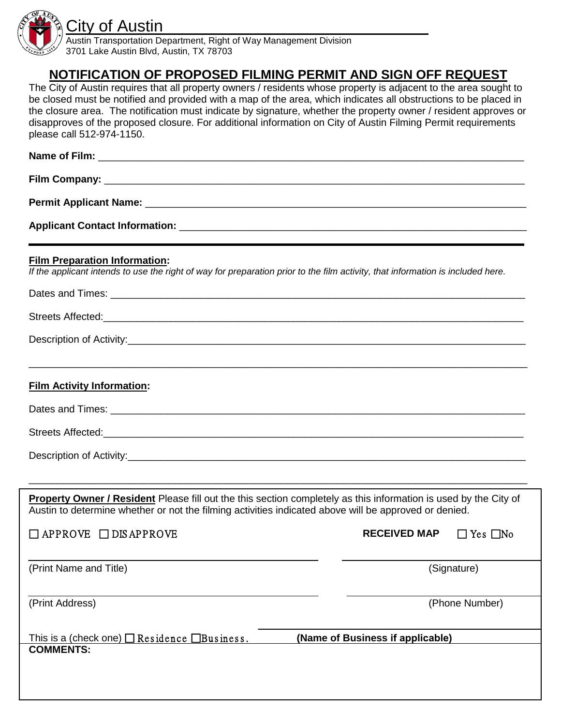

Austin Transportation Department, Right of Way Management Division 3701 Lake Austin Blvd, Austin, TX 78703

# **NOTIFICATION OF PROPOSED FILMING PERMIT AND SIGN OFF REQUEST**

The City of Austin requires that all property owners / residents whose property is adjacent to the area sought to be closed must be notified and provided with a map of the area, which indicates all obstructions to be placed in the closure area. The notification must indicate by signature, whether the property owner / resident approves or disapproves of the proposed closure. For additional information on City of Austin Filming Permit requirements please call 512-974-1150.

| <b>Permit Applicant Name: _</b> |
|---------------------------------|

**Applicant Contact Information:** \_\_\_\_\_\_\_\_\_\_\_\_\_\_\_\_\_\_\_\_\_\_\_\_\_\_\_\_\_\_\_\_\_\_\_\_\_\_\_\_\_\_\_\_\_\_\_\_\_\_\_\_\_\_\_\_\_\_\_\_\_\_

#### **Film Preparation Information:**

*If the applicant intends to use the right of way for preparation prior to the film activity, that information is included here.*

| <b>Film Activity Information:</b>                                                                                                                                                                                         |                                             |
|---------------------------------------------------------------------------------------------------------------------------------------------------------------------------------------------------------------------------|---------------------------------------------|
|                                                                                                                                                                                                                           |                                             |
|                                                                                                                                                                                                                           |                                             |
|                                                                                                                                                                                                                           |                                             |
|                                                                                                                                                                                                                           |                                             |
| Property Owner / Resident Please fill out the this section completely as this information is used by the City of<br>Austin to determine whether or not the filming activities indicated above will be approved or denied. |                                             |
| $\Box$ APPROVE $\Box$ DIS APPROVE                                                                                                                                                                                         | <b>RECEIVED MAP</b><br>$\Box$ Yes $\Box$ No |
| (Print Name and Title)                                                                                                                                                                                                    | (Signature)                                 |
| (Print Address)                                                                                                                                                                                                           | (Phone Number)                              |
| (Name of Business if applicable)<br>This is a (check one) $\square$ Residence $\square$ Business.                                                                                                                         |                                             |
| <b>COMMENTS:</b>                                                                                                                                                                                                          |                                             |
|                                                                                                                                                                                                                           |                                             |
|                                                                                                                                                                                                                           |                                             |